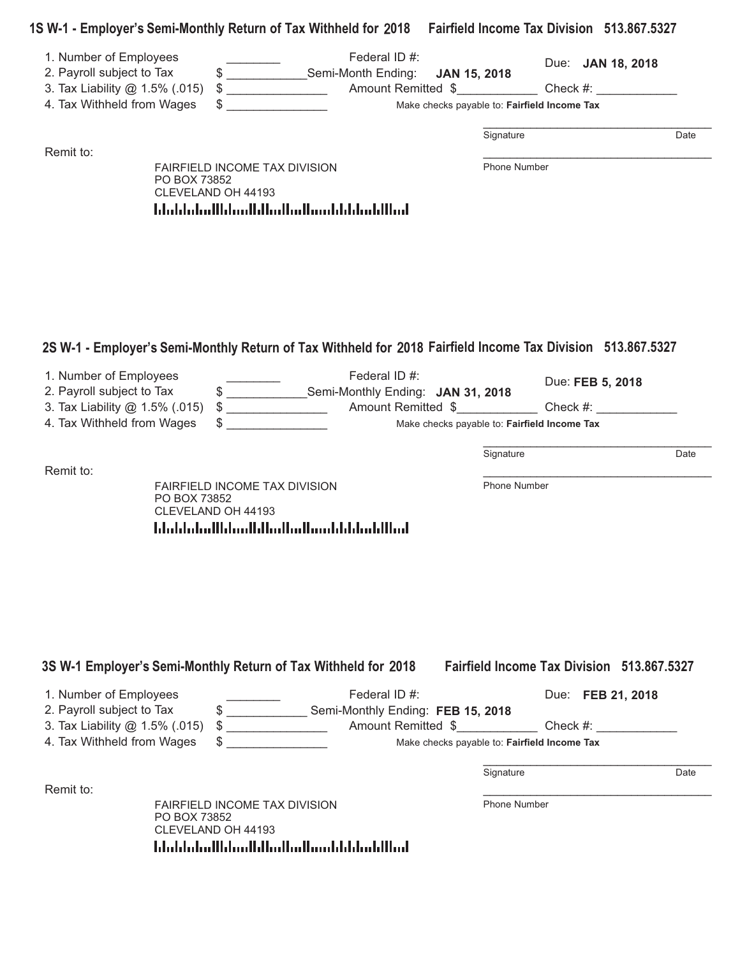|  | 1S W-1 - Employer's Semi-Monthly Return of Tax Withheld for 2018 Fairfield Income Tax Division 513.867.5327 |  |
|--|-------------------------------------------------------------------------------------------------------------|--|
|--|-------------------------------------------------------------------------------------------------------------|--|

| 1. Number of Employees<br>2. Payroll subject to Tax<br>3. Tax Liability @ 1.5% (.015) | Federal ID #:<br>\$ ____________________Semi-Month Ending:                                                                   | Due: <b>JAN 18, 2018</b><br>JAN 15, 2018<br>$Check \#:$     |      |
|---------------------------------------------------------------------------------------|------------------------------------------------------------------------------------------------------------------------------|-------------------------------------------------------------|------|
| 4. Tax Withheld from Wages                                                            | S                                                                                                                            | Make checks payable to: Fairfield Income Tax                |      |
|                                                                                       |                                                                                                                              | Signature                                                   | Date |
| Remit to:                                                                             | FAIRFIELD INCOME TAX DIVISION<br>PO BOX 73852<br>CLEVELAND OH 44193                                                          | Phone Number                                                |      |
|                                                                                       | المالليانينا بابانات بمالمنا والتالين بالاساء المامليا                                                                       |                                                             |      |
|                                                                                       |                                                                                                                              |                                                             |      |
|                                                                                       |                                                                                                                              |                                                             |      |
|                                                                                       |                                                                                                                              |                                                             |      |
|                                                                                       |                                                                                                                              |                                                             |      |
| 1. Number of Employees                                                                | 2S W-1 - Employer's Semi-Monthly Return of Tax Withheld for 2018 Fairfield Income Tax Division 513.867.5327<br>Federal ID #: |                                                             |      |
| 2. Payroll subject to Tax                                                             | \$ __________________Semi-Monthly Ending: JAN 31, 2018                                                                       | Due: FEB 5, 2018                                            |      |
| 3. Tax Liability @ 1.5% (.015)<br>4. Tax Withheld from Wages                          | \$.                                                                                                                          | $Check \#:$<br>Make checks payable to: Fairfield Income Tax |      |
|                                                                                       |                                                                                                                              |                                                             |      |
| Remit to:                                                                             |                                                                                                                              | Signature                                                   | Date |
|                                                                                       | FAIRFIELD INCOME TAX DIVISION<br>PO BOX 73852                                                                                | Phone Number                                                |      |
|                                                                                       | CLEVELAND OH 44193<br>المناليا بمايا بالمستالس المنابا استلماما المنابيات                                                    |                                                             |      |
|                                                                                       |                                                                                                                              |                                                             |      |
|                                                                                       |                                                                                                                              |                                                             |      |
|                                                                                       |                                                                                                                              |                                                             |      |
|                                                                                       |                                                                                                                              |                                                             |      |
|                                                                                       |                                                                                                                              |                                                             |      |
|                                                                                       | 3S W-1 Employer's Semi-Monthly Return of Tax Withheld for 2018                                                               | <b>Fairfield Income Tax Division 513.867.5327</b>           |      |
| 1. Number of Employees                                                                | Federal ID #:                                                                                                                | Due: FEB 21, 2018                                           |      |
| 2. Payroll subject to Tax<br>3. Tax Liability @ 1.5% (.015)                           | \$ ________________ Semi-Monthly Ending: FEB 15, 2018<br>Amount Remitted \$<br><u> 1999 - Johann Barbara, m</u>              | Check #:                                                    |      |
| 4. Tax Withheld from Wages                                                            |                                                                                                                              | Make checks payable to: Fairfield Income Tax                |      |
|                                                                                       |                                                                                                                              | Signature                                                   | Date |
|                                                                                       |                                                                                                                              |                                                             |      |
| Remit to:                                                                             | FAIRFIELD INCOME TAX DIVISION                                                                                                | <b>Phone Number</b>                                         |      |

CLEVELAND OH 44193<br>-<br>|daddalan||daddalan||daddalan|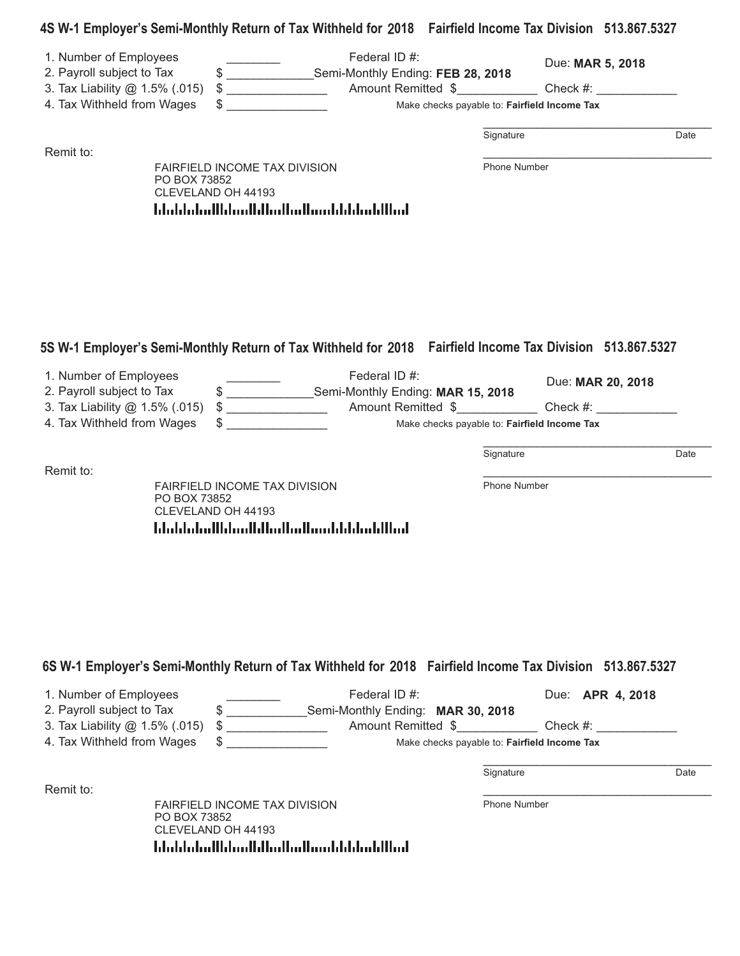## **4S W-1 Employer-s Semi-Monthly Return of Tax Withheld for 2018 Fairfield Income Tax Division 513.867.5327**

| 1. Number of Employees<br>2. Payroll subject to Tax<br>3. Tax Liability @ 1.5% (.015)<br>4. Tax Withheld from Wages | S.<br>$\frac{1}{2}$<br>\$                                                                                                           | Federal ID #:<br>Semi-Monthly Ending: FEB 28, 2018<br>Amount Remitted \$<br>Make checks payable to: Fairfield Income Tax                                |                     | Due: MAR 5, 2018<br>Check #:  |      |
|---------------------------------------------------------------------------------------------------------------------|-------------------------------------------------------------------------------------------------------------------------------------|---------------------------------------------------------------------------------------------------------------------------------------------------------|---------------------|-------------------------------|------|
|                                                                                                                     |                                                                                                                                     |                                                                                                                                                         | Signature           |                               | Date |
| Remit to:                                                                                                           | <b>FAIRFIELD INCOME TAX DIVISION</b><br>PO BOX 73852<br>CLEVELAND OH 44193<br>المباليا بمليا بالمسما استالسا المسليا السلوا بالبابا |                                                                                                                                                         | Phone Number        |                               |      |
| 1. Number of Employees<br>2. Payroll subject to Tax<br>3. Tax Liability @ 1.5% (.015)<br>4. Tax Withheld from Wages | 5S W-1 Employer's Semi-Monthly Return of Tax Withheld for 2018  Fairfield Income Tax Division 513.867.5327<br>$\frac{1}{2}$<br>\$   | Federal ID #:<br>\$ ____________________Semi-Monthly Ending: MAR 15, 2018<br>Amount Remitted \$<br>Make checks payable to: Fairfield Income Tax         |                     | Due: MAR 20, 2018<br>Check #: |      |
|                                                                                                                     |                                                                                                                                     |                                                                                                                                                         | Signature           |                               | Date |
| Remit to:                                                                                                           | <b>FAIRFIELD INCOME TAX DIVISION</b><br>PO BOX 73852<br>CLEVELAND OH 44193<br>المالليليمانا بالمسالسا الماليالسانا المباملياتيا     |                                                                                                                                                         | <b>Phone Number</b> |                               |      |
|                                                                                                                     | 6S W-1 Employer's Semi-Monthly Return of Tax Withheld for 2018 Fairfield Income Tax Division 513.867.5327                           |                                                                                                                                                         |                     |                               |      |
| 1. Number of Employees<br>2. Payroll subject to Tax<br>3. Tax Liability @ 1.5% (.015)<br>4. Tax Withheld from Wages | $\frac{1}{2}$<br><u> 1980 - Jan Stein Barnett, fransk politiker</u>                                                                 | Federal ID #:<br>\$ ___________________Semi-Monthly Ending: MAR 30, 2018<br>Amount Remitted \$ Check #:<br>Make checks payable to: Fairfield Income Tax |                     | Due: APR 4, 2018              |      |
|                                                                                                                     |                                                                                                                                     |                                                                                                                                                         | Signature           |                               | Date |
| Remit to:                                                                                                           | <b>FAIRFIELD INCOME TAX DIVISION</b><br>PO BOX 73852<br>CLEVELAND OH 44193<br>اسا الباسليانات سالسالسا السيايا الساسليانا           |                                                                                                                                                         | Phone Number        |                               |      |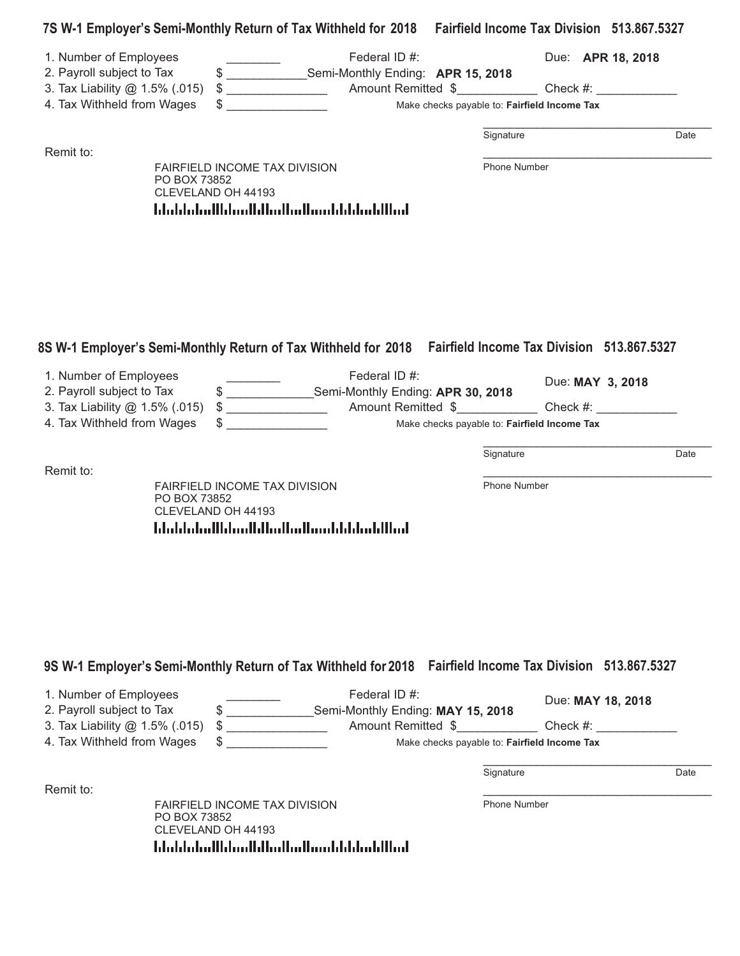|                                                                                                                     | 7S W-1 Employer's Semi-Monthly Return of Tax Withheld for 2018 Fairfield Income Tax Division 513.867.5327 |                                                                                                                                                                                                                          |                                                                                                                                                                               |                                                                                                                                                                                                                                                                                                                                                                                        |
|---------------------------------------------------------------------------------------------------------------------|-----------------------------------------------------------------------------------------------------------|--------------------------------------------------------------------------------------------------------------------------------------------------------------------------------------------------------------------------|-------------------------------------------------------------------------------------------------------------------------------------------------------------------------------|----------------------------------------------------------------------------------------------------------------------------------------------------------------------------------------------------------------------------------------------------------------------------------------------------------------------------------------------------------------------------------------|
| 1. Number of Employees<br>2. Payroll subject to Tax<br>3. Tax Liability @ 1.5% (.015)<br>4. Tax Withheld from Wages | Federal ID #:                                                                                             |                                                                                                                                                                                                                          | Due: APR 18, 2018                                                                                                                                                             |                                                                                                                                                                                                                                                                                                                                                                                        |
|                                                                                                                     |                                                                                                           | Signature                                                                                                                                                                                                                |                                                                                                                                                                               | Date                                                                                                                                                                                                                                                                                                                                                                                   |
| PO BOX 73852<br>CLEVELAND OH 44193                                                                                  |                                                                                                           |                                                                                                                                                                                                                          |                                                                                                                                                                               |                                                                                                                                                                                                                                                                                                                                                                                        |
| 1. Number of Employees<br>2. Payroll subject to Tax                                                                 | Federal ID #:                                                                                             |                                                                                                                                                                                                                          | Due: MAY 3, 2018                                                                                                                                                              |                                                                                                                                                                                                                                                                                                                                                                                        |
| 4. Tax Withheld from Wages                                                                                          |                                                                                                           |                                                                                                                                                                                                                          |                                                                                                                                                                               |                                                                                                                                                                                                                                                                                                                                                                                        |
|                                                                                                                     |                                                                                                           | Signature                                                                                                                                                                                                                |                                                                                                                                                                               | Date                                                                                                                                                                                                                                                                                                                                                                                   |
| PO BOX 73852<br>CLEVELAND OH 44193                                                                                  |                                                                                                           |                                                                                                                                                                                                                          |                                                                                                                                                                               |                                                                                                                                                                                                                                                                                                                                                                                        |
|                                                                                                                     |                                                                                                           |                                                                                                                                                                                                                          |                                                                                                                                                                               |                                                                                                                                                                                                                                                                                                                                                                                        |
| 1. Number of Employees<br>2. Payroll subject to Tax                                                                 | Federal ID #:                                                                                             |                                                                                                                                                                                                                          | Due: MAY 18, 2018                                                                                                                                                             |                                                                                                                                                                                                                                                                                                                                                                                        |
| 4. Tax Withheld from Wages                                                                                          | Make checks payable to: Fairfield Income Tax                                                              |                                                                                                                                                                                                                          |                                                                                                                                                                               |                                                                                                                                                                                                                                                                                                                                                                                        |
|                                                                                                                     |                                                                                                           |                                                                                                                                                                                                                          |                                                                                                                                                                               |                                                                                                                                                                                                                                                                                                                                                                                        |
|                                                                                                                     |                                                                                                           | Signature                                                                                                                                                                                                                |                                                                                                                                                                               | Date                                                                                                                                                                                                                                                                                                                                                                                   |
|                                                                                                                     | 3. Tax Liability @ 1.5% (.015)<br>3. Tax Liability @ 1.5% (.015)                                          | $\frac{1}{2}$<br>FAIRFIELD INCOME TAX DIVISION<br>المطالبا بمايا بالمسالم الماليا المماثا المبابياتيا بالبادا<br><b>FAIRFIELD INCOME TAX DIVISION</b><br>المالليلميانا بانستالمالماليالسيانالسلوانالينا<br>$\frac{1}{2}$ | \$ ___________________Semi-Monthly Ending: APR 15, 2018<br>\$ __________________Semi-Monthly Ending: APR 30, 2018<br>\$ ____________________Semi-Monthly Ending: MAY 15, 2018 | Make checks payable to: Fairfield Income Tax<br>Phone Number<br>8S W-1 Employer's Semi-Monthly Return of Tax Withheld for 2018 Fairfield Income Tax Division 513.867.5327<br>Make checks payable to: Fairfield Income Tax<br>Phone Number<br>9S W-1 Employer's Semi-Monthly Return of Tax Withheld for 2018  Fairfield Income Tax Division 513.867.5327<br>Amount Remitted \$ Check #: |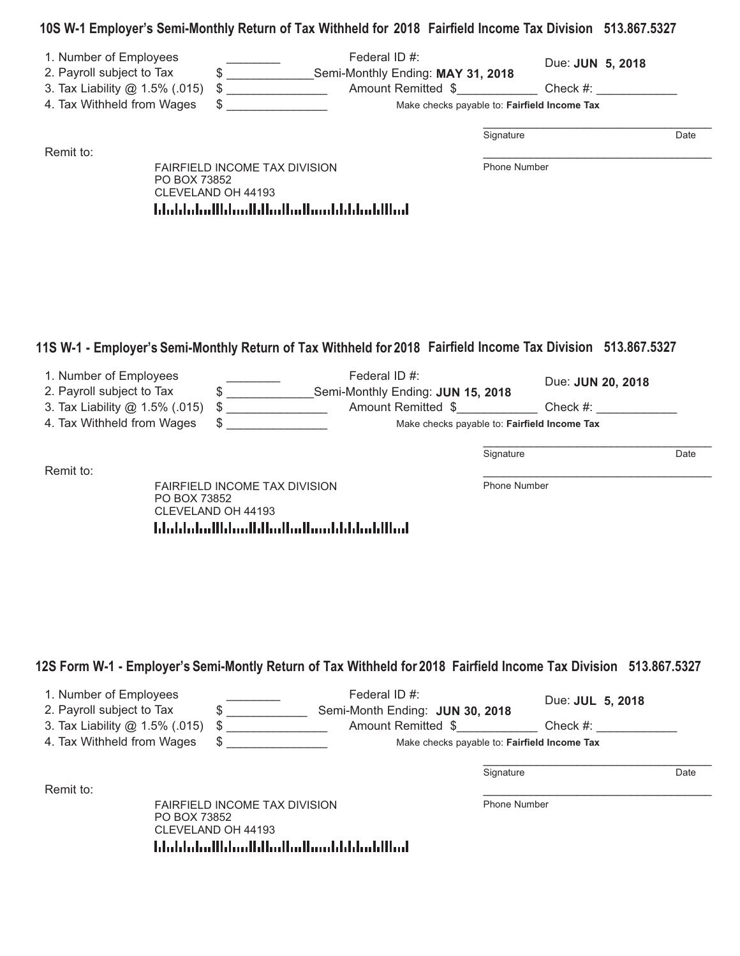## **10S W-1 Employer-s Semi-Monthly Return of Tax Withheld for 2018 Fairfield Income Tax Division 513.867.5327**

| 1. Number of Employees<br>2. Payroll subject to Tax<br>3. Tax Liability @ 1.5% (.015)                                        | $\frac{1}{2}$<br>$\frac{1}{2}$                                                                                          | Federal ID #:<br>Semi-Monthly Ending: MAY 31, 2018<br>Amount Remitted \$ |              | Due: JUN 5, 2018  | Check #: |
|------------------------------------------------------------------------------------------------------------------------------|-------------------------------------------------------------------------------------------------------------------------|--------------------------------------------------------------------------|--------------|-------------------|----------|
| 4. Tax Withheld from Wages                                                                                                   | \$                                                                                                                      | Make checks payable to: Fairfield Income Tax                             |              |                   |          |
| Remit to:                                                                                                                    |                                                                                                                         |                                                                          | Signature    |                   | Date     |
| PO BOX 73852<br>11S W-1 - Employer's Semi-Monthly Return of Tax Withheld for 2018 Fairfield Income Tax Division 513.867.5327 | <b>FAIRFIELD INCOME TAX DIVISION</b><br>CLEVELAND OH 44193<br>المطالبان بالباءان بمطابق الماليان بماءا المباءبات المليا |                                                                          | Phone Number |                   |          |
| 1. Number of Employees<br>2. Payroll subject to Tax                                                                          | \$                                                                                                                      | Federal ID #:<br>Semi-Monthly Ending: JUN 15, 2018                       |              | Due: JUN 20, 2018 |          |
| 3. Tax Liability @ 1.5% (.015)<br>4. Tax Withheld from Wages                                                                 | \$                                                                                                                      | Amount Remitted \$<br>Make checks payable to: Fairfield Income Tax       |              |                   | Check #: |

Remit to: \_\_\_\_\_\_\_\_\_\_\_\_\_\_\_\_\_\_\_\_\_\_\_\_\_\_\_\_\_\_\_\_\_\_ FAIRFIELD INCOME TAX DIVISION PO BOX 73852 CLEVELAND OH 44193 

Phone Number

\_\_\_\_\_\_\_\_\_\_\_\_\_\_\_\_\_\_\_\_\_\_\_\_\_\_\_\_\_\_\_\_\_\_ Signature Date

## 12S Form W-1 - Employer's Semi-Montly Return of Tax Withheld for 2018 Fairfield Income Tax Division 513.867.5327

| 1. Number of Employees         |                                                     | Federal ID #:                                | Due: <b>JUL 5, 2018</b> |      |
|--------------------------------|-----------------------------------------------------|----------------------------------------------|-------------------------|------|
| 2. Payroll subject to Tax      |                                                     | Semi-Month Ending: JUN 30, 2018              |                         |      |
| 3. Tax Liability @ 1.5% (.015) | S                                                   | Amount Remitted \$                           | Check $#$ :             |      |
| 4. Tax Withheld from Wages     |                                                     | Make checks payable to: Fairfield Income Tax |                         |      |
|                                |                                                     |                                              |                         |      |
|                                |                                                     | Signature                                    |                         | Date |
| Remit to:                      |                                                     |                                              |                         |      |
|                                | <b>FAIRFIELD INCOME TAX DIVISION</b>                | <b>Phone Number</b>                          |                         |      |
| PO BOX 73852                   |                                                     |                                              |                         |      |
| CLEVELAND OH 44193             |                                                     |                                              |                         |      |
|                                | اسلاليا سليليا باستالسا اسليلا استليا اسليبا باباتا |                                              |                         |      |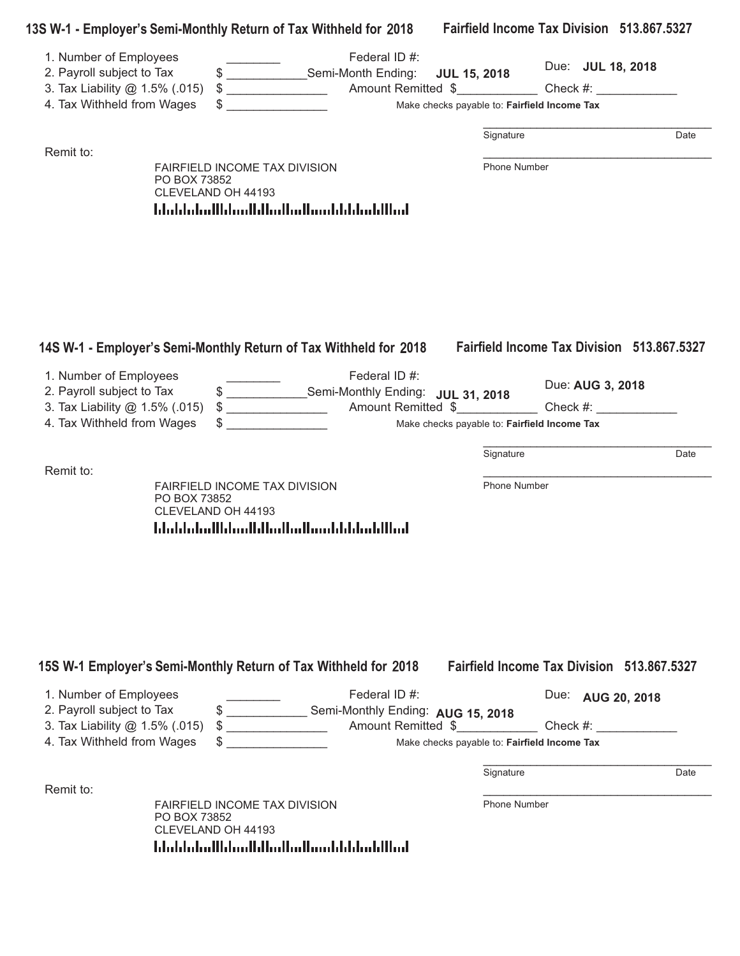| 1. Number of Employees                                      |              |                                                           | Federal ID #:                                                                                                |                                              |                                                   |      |
|-------------------------------------------------------------|--------------|-----------------------------------------------------------|--------------------------------------------------------------------------------------------------------------|----------------------------------------------|---------------------------------------------------|------|
| 2. Payroll subject to Tax                                   |              |                                                           | \$ _________________Semi-Month Ending:                                                                       | <b>JUL 15, 2018</b>                          | Due: JUL 18, 2018                                 |      |
| 3. Tax Liability @ 1.5% (.015)                              |              |                                                           |                                                                                                              |                                              |                                                   |      |
| 4. Tax Withheld from Wages                                  |              |                                                           |                                                                                                              | Make checks payable to: Fairfield Income Tax |                                                   |      |
|                                                             |              |                                                           |                                                                                                              | Signature                                    |                                                   | Date |
| Remit to:                                                   |              | FAIRFIELD INCOME TAX DIVISION                             |                                                                                                              | Phone Number                                 |                                                   |      |
|                                                             | PO BOX 73852 | CLEVELAND OH 44193                                        |                                                                                                              |                                              |                                                   |      |
|                                                             |              |                                                           | المالليلميانانانانستالمالماليالسياناالمبامليانيا                                                             |                                              |                                                   |      |
|                                                             |              |                                                           |                                                                                                              |                                              |                                                   |      |
|                                                             |              |                                                           | 14S W-1 - Employer's Semi-Monthly Return of Tax Withheld for 2018 Fairfield Income Tax Division 513.867.5327 |                                              |                                                   |      |
| 1. Number of Employees<br>2. Payroll subject to Tax         |              |                                                           | Federal ID #:<br>\$ ___________________Semi-Monthly Ending: JUL 31, 2018                                     |                                              | Due: AUG 3, 2018                                  |      |
| 3. Tax Liability @ 1.5% (.015)                              |              |                                                           |                                                                                                              |                                              |                                                   |      |
| 4. Tax Withheld from Wages                                  |              |                                                           |                                                                                                              | Make checks payable to: Fairfield Income Tax |                                                   |      |
|                                                             |              |                                                           |                                                                                                              | Signature                                    |                                                   | Date |
| Remit to:                                                   |              | FAIRFIELD INCOME TAX DIVISION                             |                                                                                                              | Phone Number                                 |                                                   |      |
|                                                             | PO BOX 73852 | CLEVELAND OH 44193                                        | المطالبا بمليا بالمستلمط المبايا المساوا المباردا بالمليا                                                    |                                              |                                                   |      |
|                                                             |              |                                                           | 15S W-1 Employer's Semi-Monthly Return of Tax Withheld for 2018                                              |                                              | <b>Fairfield Income Tax Division 513,867,5327</b> |      |
| 1. Number of Employees                                      |              |                                                           | Federal ID #:                                                                                                |                                              | Due:<br>AUG 20, 2018                              |      |
| 2. Payroll subject to Tax<br>3. Tax Liability @ 1.5% (.015) |              | $\begin{array}{c} \updownarrow \\ \downarrow \end{array}$ | \$ _________________ Semi-Monthly Ending: AUG 15, 2018                                                       | Amount Remitted \$                           | Check #:                                          |      |
| 4. Tax Withheld from Wages                                  |              |                                                           |                                                                                                              | Make checks payable to: Fairfield Income Tax |                                                   |      |
|                                                             |              |                                                           |                                                                                                              | Signature                                    |                                                   | Date |
| Remit to:                                                   |              |                                                           |                                                                                                              |                                              |                                                   |      |
|                                                             | PO BOX 73852 | FAIRFIELD INCOME TAX DIVISION<br>CLEVELAND OH 44193       |                                                                                                              | <b>Phone Number</b>                          |                                                   |      |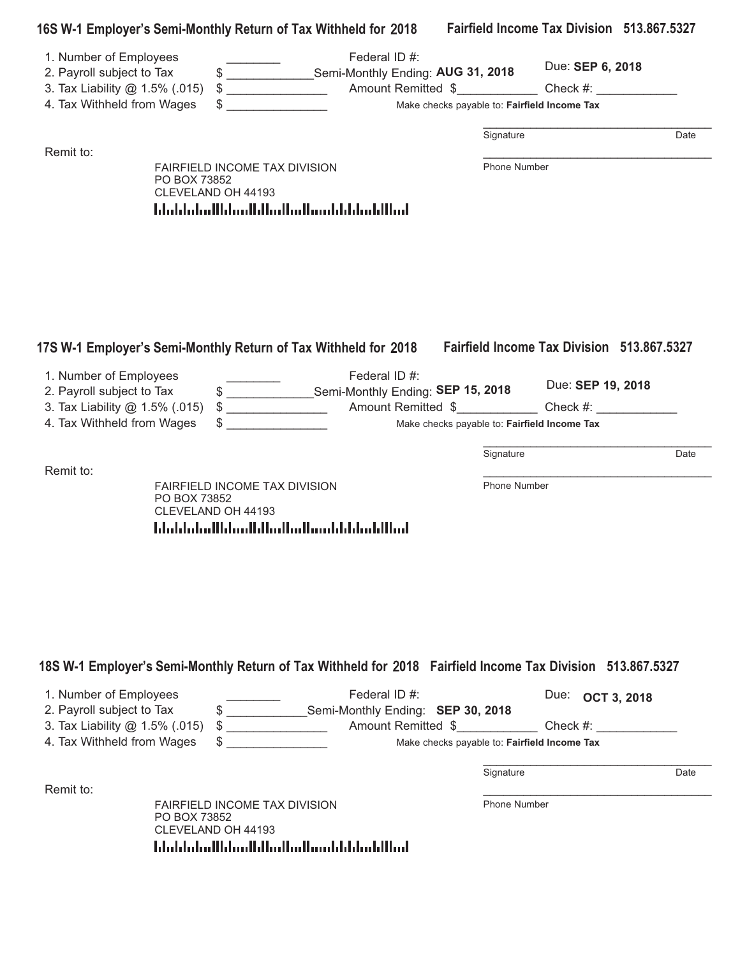| 16S W-1 Employer's Semi-Monthly Return of Tax Withheld for 2018                                            |              |                                                                    |                                                                          |                     |                                                   | Fairfield Income Tax Division 513.867.5327 |
|------------------------------------------------------------------------------------------------------------|--------------|--------------------------------------------------------------------|--------------------------------------------------------------------------|---------------------|---------------------------------------------------|--------------------------------------------|
| 1. Number of Employees                                                                                     |              |                                                                    | Federal ID #:                                                            |                     |                                                   |                                            |
| 2. Payroll subject to Tax                                                                                  |              |                                                                    | \$ ____________________Semi-Monthly Ending: AUG 31, 2018                 |                     | Due: SEP 6, 2018                                  |                                            |
| 3. Tax Liability @ 1.5% (.015)                                                                             |              | $\frac{1}{2}$                                                      | Amount Remitted \$ Check #:                                              |                     |                                                   |                                            |
| 4. Tax Withheld from Wages                                                                                 |              |                                                                    |                                                                          |                     | Make checks payable to: Fairfield Income Tax      |                                            |
|                                                                                                            |              |                                                                    |                                                                          | Signature           |                                                   | Date                                       |
| Remit to:                                                                                                  |              |                                                                    |                                                                          | Phone Number        |                                                   |                                            |
|                                                                                                            | PO BOX 73852 | <b>FAIRFIELD INCOME TAX DIVISION</b><br>CLEVELAND OH 44193         |                                                                          |                     |                                                   |                                            |
|                                                                                                            |              | المطالبا بمايا بالمسالم الماليا المماثا المبابياتيا بالبادا        |                                                                          |                     |                                                   |                                            |
|                                                                                                            |              |                                                                    |                                                                          |                     |                                                   |                                            |
|                                                                                                            |              |                                                                    |                                                                          |                     |                                                   |                                            |
|                                                                                                            |              |                                                                    |                                                                          |                     |                                                   |                                            |
| 17S W-1 Employer's Semi-Monthly Return of Tax Withheld for 2018                                            |              |                                                                    |                                                                          |                     | <b>Fairfield Income Tax Division 513.867.5327</b> |                                            |
| 1. Number of Employees<br>2. Payroll subject to Tax                                                        |              |                                                                    | Federal ID #:<br>\$ ___________________Semi-Monthly Ending: SEP 15, 2018 |                     | Due: SEP 19, 2018                                 |                                            |
| 3. Tax Liability @ 1.5% (.015)                                                                             |              | $\frac{1}{2}$                                                      | Amount Remitted \$                                                       |                     | $Check \#:$                                       |                                            |
| 4. Tax Withheld from Wages                                                                                 |              |                                                                    |                                                                          |                     | Make checks payable to: Fairfield Income Tax      |                                            |
|                                                                                                            |              |                                                                    |                                                                          |                     |                                                   |                                            |
| Remit to:                                                                                                  |              |                                                                    |                                                                          | Signature           |                                                   | Date                                       |
|                                                                                                            | PO BOX 73852 | FAIRFIELD INCOME TAX DIVISION                                      |                                                                          | Phone Number        |                                                   |                                            |
|                                                                                                            |              | CLEVELAND OH 44193<br>المالليلميانا بانستالمالماليالسيانالمياماتيا |                                                                          |                     |                                                   |                                            |
|                                                                                                            |              |                                                                    |                                                                          |                     |                                                   |                                            |
|                                                                                                            |              |                                                                    |                                                                          |                     |                                                   |                                            |
|                                                                                                            |              |                                                                    |                                                                          |                     |                                                   |                                            |
|                                                                                                            |              |                                                                    |                                                                          |                     |                                                   |                                            |
|                                                                                                            |              |                                                                    |                                                                          |                     |                                                   |                                            |
|                                                                                                            |              |                                                                    |                                                                          |                     |                                                   |                                            |
| 18S W-1 Employer's Semi-Monthly Return of Tax Withheld for 2018 Fairfield Income Tax Division 513.867.5327 |              |                                                                    |                                                                          |                     |                                                   |                                            |
| 1. Number of Employees                                                                                     |              |                                                                    | Federal ID #:                                                            |                     | Due:<br><b>OCT 3, 2018</b>                        |                                            |
| 2. Payroll subject to Tax                                                                                  |              |                                                                    | \$ ___________________Semi-Monthly Ending: SEP 30, 2018                  |                     |                                                   |                                            |
| 3. Tax Liability @ 1.5% (.015)                                                                             |              | $\frac{1}{2}$                                                      | Amount Remitted \$ Check #:                                              |                     |                                                   |                                            |
| 4. Tax Withheld from Wages                                                                                 |              |                                                                    |                                                                          |                     | Make checks payable to: Fairfield Income Tax      |                                            |
|                                                                                                            |              |                                                                    |                                                                          | Signature           |                                                   | Date                                       |
| Remit to:                                                                                                  |              | FAIRFIELD INCOME TAX DIVISION                                      |                                                                          | <b>Phone Number</b> |                                                   |                                            |
|                                                                                                            | PO BOX 73852 |                                                                    |                                                                          |                     |                                                   |                                            |
|                                                                                                            |              | CLEVELAND OH 44193                                                 |                                                                          |                     |                                                   |                                            |
|                                                                                                            |              | اسلاليا سليليا باستناسا اسلايا استايا الشامليات                    |                                                                          |                     |                                                   |                                            |
|                                                                                                            |              |                                                                    |                                                                          |                     |                                                   |                                            |
|                                                                                                            |              |                                                                    |                                                                          |                     |                                                   |                                            |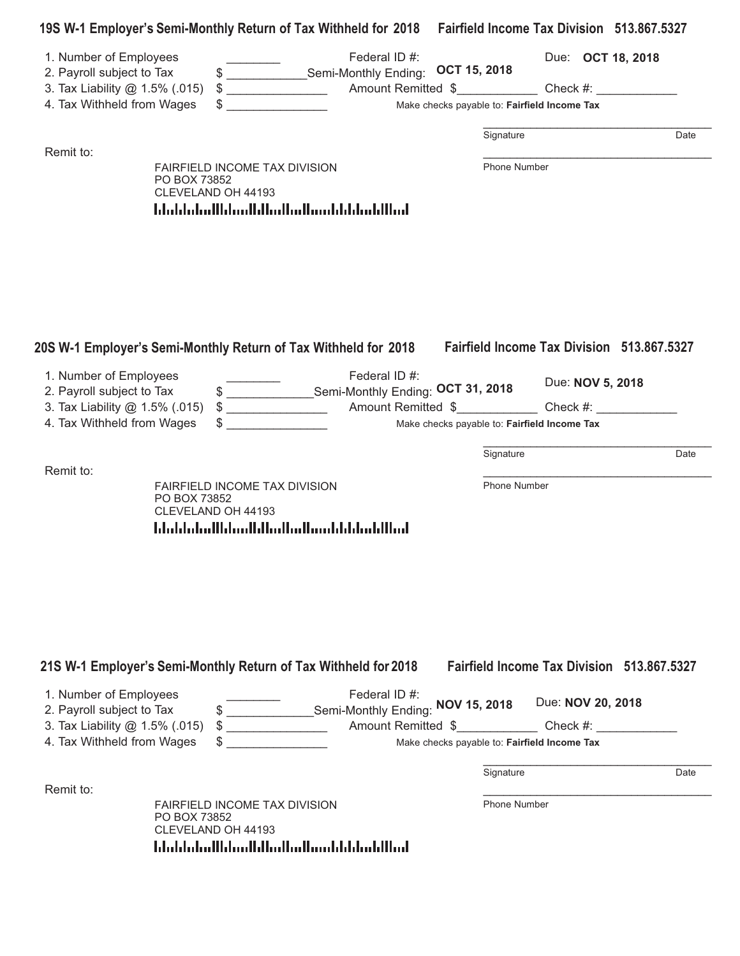|                                                                                                                     | 19S W-1 Employer's Semi-Monthly Return of Tax Withheld for 2018 Fairfield Income Tax Division 513.867.5327                      |                               |                                                                             |      |
|---------------------------------------------------------------------------------------------------------------------|---------------------------------------------------------------------------------------------------------------------------------|-------------------------------|-----------------------------------------------------------------------------|------|
| 1. Number of Employees<br>2. Payroll subject to Tax<br>3. Tax Liability @ 1.5% (.015)<br>4. Tax Withheld from Wages | \$ _________________Semi-Monthly Ending:<br>$\frac{1}{2}$                                                                       | Federal ID #:<br>OCT 15, 2018 | Due: OCT 18, 2018<br>Make checks payable to: Fairfield Income Tax           |      |
|                                                                                                                     |                                                                                                                                 |                               | Signature                                                                   | Date |
| Remit to:                                                                                                           | FAIRFIELD INCOME TAX DIVISION<br>PO BOX 73852<br>CLEVELAND OH 44193<br>المالليلميانانانستالمالماليالسماناالمباماتيانا           |                               | Phone Number                                                                |      |
|                                                                                                                     | 20S W-1 Employer's Semi-Monthly Return of Tax Withheld for 2018                                                                 |                               | <b>Fairfield Income Tax Division 513.867.5327</b>                           |      |
| 1. Number of Employees<br>2. Payroll subject to Tax                                                                 | \$ ____________________Semi-Monthly Ending: OCT 31, 2018                                                                        | Federal ID #:                 | Due: NOV 5, 2018                                                            |      |
| 3. Tax Liability @ 1.5% (.015)                                                                                      |                                                                                                                                 |                               |                                                                             |      |
| 4. Tax Withheld from Wages                                                                                          |                                                                                                                                 |                               | Make checks payable to: Fairfield Income Tax                                |      |
|                                                                                                                     |                                                                                                                                 |                               | Signature                                                                   | Date |
| Remit to:                                                                                                           | FAIRFIELD INCOME TAX DIVISION<br>PO BOX 73852<br>CLEVELAND OH 44193<br>المالليلميانا بالمسالسا الماليان بالاساء المامليا        |                               | Phone Number                                                                |      |
| 1. Number of Employees                                                                                              | 21S W-1 Employer's Semi-Monthly Return of Tax Withheld for 2018                                                                 | Federal ID #:                 | <b>Fairfield Income Tax Division 513,867,5327</b><br>Due: NOV 20, 2018      |      |
| 2. Payroll subject to Tax<br>3. Tax Liability @ 1.5% (.015)<br>4. Tax Withheld from Wages                           | \$ _________________Semi-Monthly Ending: NOV 15, 2018<br>$\frac{1}{2}$                                                          |                               | Amount Remitted \$ Check #:<br>Make checks payable to: Fairfield Income Tax |      |
|                                                                                                                     |                                                                                                                                 |                               |                                                                             |      |
| Remit to:                                                                                                           |                                                                                                                                 |                               | Signature                                                                   | Date |
|                                                                                                                     | <b>FAIRFIELD INCOME TAX DIVISION</b><br>PO BOX 73852<br>CLEVELAND OH 44193<br>اسلاليا سابا باباس استان بالباسيا بالساماءا بابيا |                               | <b>Phone Number</b>                                                         |      |
|                                                                                                                     |                                                                                                                                 |                               |                                                                             |      |